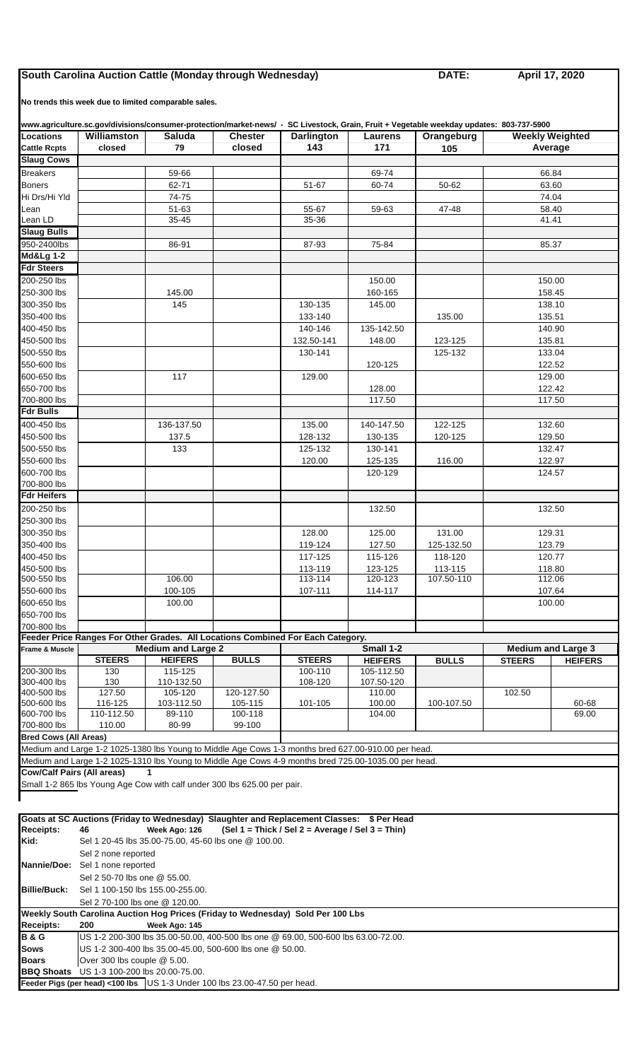## **South Carolina Auction Cattle (Monday through Wednesday) DATE:**

**Feeder Pigs (per head) <100 lbs** US 1-3 Under 100 lbs 23.00-47.50 per head.

**April 17, 2020**

**No trends this week due to limited comparable sales.** 

| www.agriculture.sc.gov/divisions/consumer-protection/market-news/ - SC Livestock, Grain, Fruit + Vegetable weekday updates: 803-737-5900 |                                                                                                                                               |                                                      |                          |                                                                                                      |                          |                      |                                   |                           |  |  |  |
|------------------------------------------------------------------------------------------------------------------------------------------|-----------------------------------------------------------------------------------------------------------------------------------------------|------------------------------------------------------|--------------------------|------------------------------------------------------------------------------------------------------|--------------------------|----------------------|-----------------------------------|---------------------------|--|--|--|
| Locations<br><b>Cattle Rcpts</b>                                                                                                         | Williamston<br>closed                                                                                                                         | <b>Saluda</b><br>79                                  | <b>Chester</b><br>closed | <b>Darlington</b><br>143                                                                             | Laurens<br>171           | Orangeburg<br>105    | <b>Weekly Weighted</b><br>Average |                           |  |  |  |
| <b>Slaug Cows</b>                                                                                                                        |                                                                                                                                               |                                                      |                          |                                                                                                      |                          |                      |                                   |                           |  |  |  |
| <b>Breakers</b>                                                                                                                          |                                                                                                                                               | 59-66                                                |                          |                                                                                                      | 69-74                    |                      | 66.84                             |                           |  |  |  |
| <b>Boners</b>                                                                                                                            |                                                                                                                                               | 62-71                                                |                          | $51 - 67$                                                                                            | 60-74                    | $50 - 62$            | 63.60                             |                           |  |  |  |
| Hi Drs/Hi Yld                                                                                                                            |                                                                                                                                               | 74-75                                                |                          |                                                                                                      |                          |                      | 74.04                             |                           |  |  |  |
| Lean                                                                                                                                     |                                                                                                                                               | $51 - 63$                                            |                          | 55-67                                                                                                | 59-63                    | 47-48                | 58.40<br>41.41                    |                           |  |  |  |
| Lean LD<br><b>Slaug Bulls</b>                                                                                                            |                                                                                                                                               | 35 45                                                |                          | 35-36                                                                                                |                          |                      |                                   |                           |  |  |  |
| 950-2400lbs                                                                                                                              |                                                                                                                                               | 86-91                                                |                          | 87-93                                                                                                | 75-84                    |                      | 85.37                             |                           |  |  |  |
| <b>Md&amp;Lg 1-2</b>                                                                                                                     |                                                                                                                                               |                                                      |                          |                                                                                                      |                          |                      |                                   |                           |  |  |  |
| <b>Fdr Steers</b>                                                                                                                        |                                                                                                                                               |                                                      |                          |                                                                                                      |                          |                      |                                   |                           |  |  |  |
| 200-250 lbs                                                                                                                              |                                                                                                                                               |                                                      |                          |                                                                                                      | 150.00                   |                      | 150.00                            |                           |  |  |  |
| 250-300 lbs                                                                                                                              |                                                                                                                                               | 145.00                                               |                          |                                                                                                      | 160-165                  |                      | 158.45                            |                           |  |  |  |
| 300-350 lbs                                                                                                                              |                                                                                                                                               | 145                                                  |                          | 130-135                                                                                              | 145.00                   |                      | 138.10                            |                           |  |  |  |
| 350-400 lbs<br>400-450 lbs                                                                                                               |                                                                                                                                               |                                                      |                          | 133-140<br>140-146                                                                                   | 135-142.50               | 135.00               | 135.51<br>140.90                  |                           |  |  |  |
| 450-500 lbs                                                                                                                              |                                                                                                                                               |                                                      |                          | 132.50-141                                                                                           | 148.00                   | 123-125              | 135.81                            |                           |  |  |  |
| 500-550 lbs                                                                                                                              |                                                                                                                                               |                                                      |                          | 130-141                                                                                              |                          | 125-132              | 133.04                            |                           |  |  |  |
| 550-600 lbs                                                                                                                              |                                                                                                                                               |                                                      |                          |                                                                                                      | 120-125                  |                      | 122.52                            |                           |  |  |  |
| 600-650 lbs                                                                                                                              |                                                                                                                                               | 117                                                  |                          | 129.00                                                                                               |                          |                      | 129.00                            |                           |  |  |  |
| 650-700 lbs                                                                                                                              |                                                                                                                                               |                                                      |                          |                                                                                                      | 128.00                   |                      | 122.42                            |                           |  |  |  |
| 700-800 lbs                                                                                                                              |                                                                                                                                               |                                                      |                          |                                                                                                      | 117.50                   |                      |                                   | 117.50                    |  |  |  |
| Fdr Bulls                                                                                                                                |                                                                                                                                               |                                                      |                          |                                                                                                      |                          |                      |                                   |                           |  |  |  |
| 400-450 lbs<br>450-500 lbs                                                                                                               |                                                                                                                                               | 136-137.50<br>137.5                                  |                          | 135.00<br>128-132                                                                                    | 140-147.50<br>130-135    | 122-125<br>120-125   | 132.60<br>129.50                  |                           |  |  |  |
| 500-550 lbs                                                                                                                              |                                                                                                                                               | 133                                                  |                          | 125-132                                                                                              | 130-141                  |                      | 132.47                            |                           |  |  |  |
| 550-600 lbs                                                                                                                              |                                                                                                                                               |                                                      |                          | 120.00                                                                                               | 125-135                  | 116.00               | 122.97                            |                           |  |  |  |
| 600-700 lbs                                                                                                                              |                                                                                                                                               |                                                      |                          |                                                                                                      | 120-129                  |                      | 124.57                            |                           |  |  |  |
| 700-800 lbs                                                                                                                              |                                                                                                                                               |                                                      |                          |                                                                                                      |                          |                      |                                   |                           |  |  |  |
| <b>Fdr Heifers</b>                                                                                                                       |                                                                                                                                               |                                                      |                          |                                                                                                      |                          |                      |                                   |                           |  |  |  |
| 200-250 lbs                                                                                                                              |                                                                                                                                               |                                                      |                          |                                                                                                      | 132.50                   |                      |                                   | 132.50                    |  |  |  |
| 250-300 lbs                                                                                                                              |                                                                                                                                               |                                                      |                          |                                                                                                      |                          |                      | 129.31                            |                           |  |  |  |
| 300-350 lbs<br>350-400 lbs                                                                                                               |                                                                                                                                               |                                                      |                          | 128.00<br>119-124                                                                                    | 125.00<br>127.50         | 131.00<br>125-132.50 | 123.79                            |                           |  |  |  |
| 400-450 lbs                                                                                                                              |                                                                                                                                               |                                                      |                          | 117-125                                                                                              | 115-126                  | 118-120              | 120.77                            |                           |  |  |  |
| 450-500 lbs                                                                                                                              |                                                                                                                                               |                                                      |                          | 113-119                                                                                              | 123-125                  | 113-115              | 118.80                            |                           |  |  |  |
| 500-550 lbs                                                                                                                              |                                                                                                                                               | 106.00                                               |                          | 113-114                                                                                              | 120-123                  | 107.50-110           | 112.06                            |                           |  |  |  |
| 550-600 lbs                                                                                                                              |                                                                                                                                               | 100-105                                              |                          | 107-111                                                                                              | 114-117                  |                      | 107.64                            |                           |  |  |  |
| 600-650 lbs                                                                                                                              |                                                                                                                                               | 100.00                                               |                          |                                                                                                      |                          |                      |                                   | 100.00                    |  |  |  |
| 650-700 lbs<br>700-800 lbs                                                                                                               |                                                                                                                                               |                                                      |                          |                                                                                                      |                          |                      |                                   |                           |  |  |  |
|                                                                                                                                          |                                                                                                                                               |                                                      |                          | Feeder Price Ranges For Other Grades. All Locations Combined For Each Category.                      |                          |                      |                                   |                           |  |  |  |
| Frame & Muscle                                                                                                                           |                                                                                                                                               | <b>Medium and Large 2</b>                            |                          |                                                                                                      | Small 1-2                |                      |                                   | <b>Medium and Large 3</b> |  |  |  |
|                                                                                                                                          | <b>STEERS</b>                                                                                                                                 | <b>HEIFERS</b>                                       | <b>BULLS</b>             | <b>STEERS</b>                                                                                        | <b>HEIFERS</b>           | <b>BULLS</b>         | <b>STEERS</b>                     | <b>HEIFERS</b>            |  |  |  |
| 200-300 lbs<br>300-400 lbs                                                                                                               | 130<br>130                                                                                                                                    | 115-125<br>110-132.50                                |                          | 100-110<br>108-120                                                                                   | 105-112.50<br>107.50-120 |                      |                                   |                           |  |  |  |
| 400-500 lbs                                                                                                                              | 127.50                                                                                                                                        | 105-120                                              | 120-127.50               |                                                                                                      | 110.00                   |                      | 102.50                            |                           |  |  |  |
| 500-600 lbs                                                                                                                              | 116-125                                                                                                                                       | 103-112.50                                           | 105-115                  | 101-105                                                                                              | 100.00                   | 100-107.50           |                                   | 60-68                     |  |  |  |
| 600-700 lbs                                                                                                                              | 110-112.50                                                                                                                                    | 89-110                                               | 100-118                  |                                                                                                      | 104.00                   |                      |                                   | 69.00                     |  |  |  |
| 700-800 lbs                                                                                                                              | 110.00                                                                                                                                        | 80-99                                                | 99-100                   |                                                                                                      |                          |                      |                                   |                           |  |  |  |
| <b>Bred Cows (All Areas)</b>                                                                                                             |                                                                                                                                               |                                                      |                          | Medium and Large 1-2 1025-1380 lbs Young to Middle Age Cows 1-3 months bred 627.00-910.00 per head.  |                          |                      |                                   |                           |  |  |  |
|                                                                                                                                          |                                                                                                                                               |                                                      |                          | Medium and Large 1-2 1025-1310 lbs Young to Middle Age Cows 4-9 months bred 725.00-1035.00 per head. |                          |                      |                                   |                           |  |  |  |
| Cow/Calf Pairs (All areas)                                                                                                               |                                                                                                                                               |                                                      |                          |                                                                                                      |                          |                      |                                   |                           |  |  |  |
|                                                                                                                                          | Small 1-2 865 lbs Young Age Cow with calf under 300 lbs 625.00 per pair.                                                                      |                                                      |                          |                                                                                                      |                          |                      |                                   |                           |  |  |  |
|                                                                                                                                          |                                                                                                                                               |                                                      |                          |                                                                                                      |                          |                      |                                   |                           |  |  |  |
|                                                                                                                                          |                                                                                                                                               |                                                      |                          | Goats at SC Auctions (Friday to Wednesday) Slaughter and Replacement Classes: \$ Per Head            |                          |                      |                                   |                           |  |  |  |
| Receipts:                                                                                                                                | 46                                                                                                                                            | Week Ago: 126                                        |                          | (Sel 1 = Thick / Sel 2 = Average / Sel 3 = Thin)                                                     |                          |                      |                                   |                           |  |  |  |
| Kid:                                                                                                                                     |                                                                                                                                               | Sel 1 20-45 lbs 35.00-75.00, 45-60 lbs one @ 100.00. |                          |                                                                                                      |                          |                      |                                   |                           |  |  |  |
|                                                                                                                                          | Sel 2 none reported                                                                                                                           |                                                      |                          |                                                                                                      |                          |                      |                                   |                           |  |  |  |
|                                                                                                                                          | Nannie/Doe: Sel 1 none reported                                                                                                               |                                                      |                          |                                                                                                      |                          |                      |                                   |                           |  |  |  |
|                                                                                                                                          | Sel 2 50-70 lbs one @ 55.00.                                                                                                                  |                                                      |                          |                                                                                                      |                          |                      |                                   |                           |  |  |  |
| <b>Billie/Buck:</b>                                                                                                                      | Sel 1 100-150 lbs 155.00-255.00.                                                                                                              |                                                      |                          |                                                                                                      |                          |                      |                                   |                           |  |  |  |
|                                                                                                                                          | Sel 2 70-100 lbs one @ 120.00.<br>Weekly South Carolina Auction Hog Prices (Friday to Wednesday) Sold Per 100 Lbs                             |                                                      |                          |                                                                                                      |                          |                      |                                   |                           |  |  |  |
| Receipts:                                                                                                                                | 200                                                                                                                                           | Week Ago: 145                                        |                          |                                                                                                      |                          |                      |                                   |                           |  |  |  |
| <b>B&amp;G</b>                                                                                                                           |                                                                                                                                               |                                                      |                          |                                                                                                      |                          |                      |                                   |                           |  |  |  |
| Sows                                                                                                                                     | US 1-2 200-300 lbs 35.00-50.00, 400-500 lbs one @ 69.00, 500-600 lbs 63.00-72.00.<br>US 1-2 300-400 lbs 35.00-45.00, 500-600 lbs one @ 50.00. |                                                      |                          |                                                                                                      |                          |                      |                                   |                           |  |  |  |
| Boars                                                                                                                                    | Over 300 lbs couple @ 5.00.                                                                                                                   |                                                      |                          |                                                                                                      |                          |                      |                                   |                           |  |  |  |
|                                                                                                                                          | BBQ Shoats US 1-3 100-200 lbs 20.00-75.00.                                                                                                    |                                                      |                          |                                                                                                      |                          |                      |                                   |                           |  |  |  |